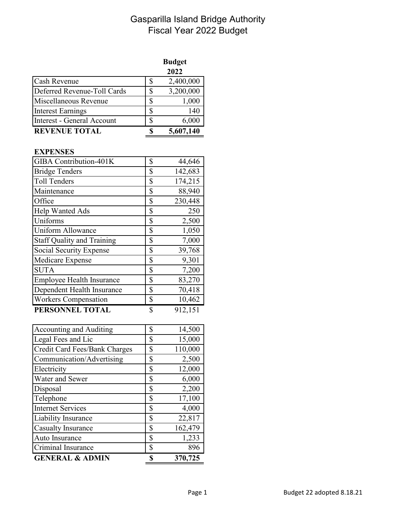## Gasparilla Island Bridge Authority Fiscal Year 2022 Budget

|                             |   | <b>Budget</b> |
|-----------------------------|---|---------------|
|                             |   | 2022          |
| <b>Cash Revenue</b>         |   | 2,400,000     |
| Deferred Revenue-Toll Cards |   | 3,200,000     |
| Miscellaneous Revenue       |   | 1,000         |
| <b>Interest Earnings</b>    | S | 140           |
| Interest - General Account  | S | 6,000         |
| <b>REVENUE TOTAL</b>        |   | 5,607,140     |

## **EXPENSES**

| GIBA Contribution-401K            | \$<br>44,646  |
|-----------------------------------|---------------|
| <b>Bridge Tenders</b>             | \$<br>142,683 |
| <b>Toll Tenders</b>               | \$<br>174,215 |
| Maintenance                       | \$<br>88,940  |
| Office                            | \$<br>230,448 |
| Help Wanted Ads                   | \$<br>250     |
| Uniforms                          | \$<br>2,500   |
| <b>Uniform Allowance</b>          | \$<br>1,050   |
| <b>Staff Quality and Training</b> | \$<br>7,000   |
| Social Security Expense           | \$<br>39,768  |
| Medicare Expense                  | \$<br>9,301   |
| <b>SUTA</b>                       | \$<br>7,200   |
| <b>Employee Health Insurance</b>  | \$<br>83,270  |
| Dependent Health Insurance        | \$<br>70,418  |
| <b>Workers Compensation</b>       | \$<br>10,462  |
| PERSONNEL TOTAL                   | \$<br>912,151 |

| <b>Accounting and Auditing</b> | \$ | 14,500  |
|--------------------------------|----|---------|
| Legal Fees and Lic             | \$ | 15,000  |
| Credit Card Fees/Bank Charges  | \$ | 110,000 |
| Communication/Advertising      | \$ | 2,500   |
| Electricity                    | \$ | 12,000  |
| Water and Sewer                | \$ | 6,000   |
| Disposal                       | \$ | 2,200   |
| Telephone                      | \$ | 17,100  |
| <b>Internet Services</b>       | \$ | 4,000   |
| Liability Insurance            | S  | 22,817  |
| <b>Casualty Insurance</b>      | \$ | 162,479 |
| Auto Insurance                 | \$ | 1,233   |
| Criminal Insurance             | S  | 896     |
| <b>GENERAL &amp; ADMIN</b>     |    | 370,725 |